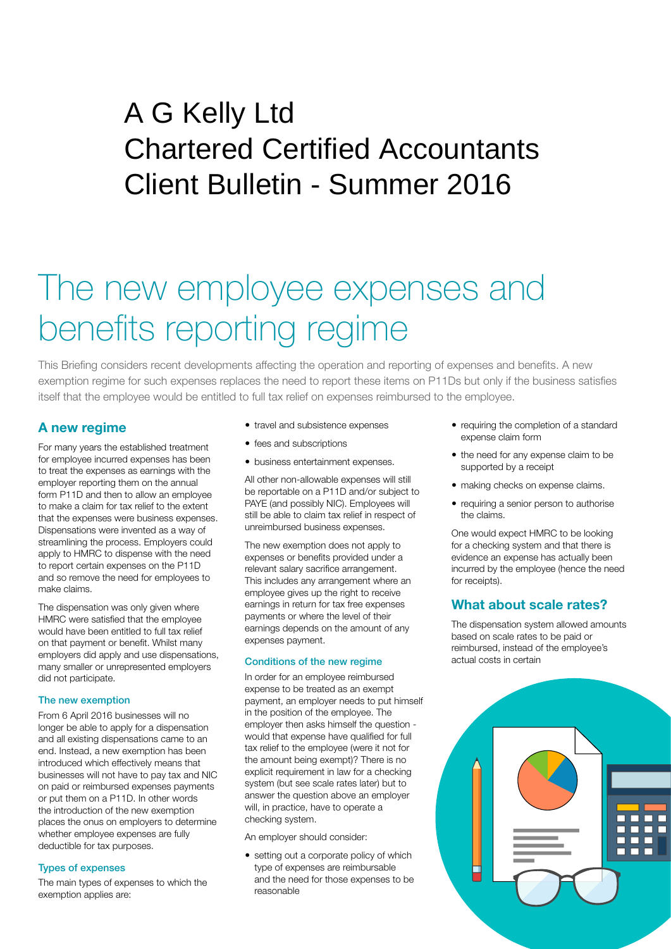# Peat House Newham Road Truro Cornwall TR1 2DP A G Kelly Ltd Chartered Certified Accountants Client Bulletin - Summer 2016

# The new employee expenses and benefits reporting regime

This Briefing considers recent developments affecting the operation and reporting of expenses and benefits. A new exemption regime for such expenses replaces the need to report these items on P11Ds but only if the business satisfies itself that the employee would be entitled to full tax relief on expenses reimbursed to the employee.

## **A new regime**

For many years the established treatment for employee incurred expenses has been to treat the expenses as earnings with the employer reporting them on the annual form P11D and then to allow an employee to make a claim for tax relief to the extent that the expenses were business expenses. Dispensations were invented as a way of streamlining the process. Employers could apply to HMRC to dispense with the need to report certain expenses on the P11D and so remove the need for employees to make claims.

The dispensation was only given where HMRC were satisfied that the employee would have been entitled to full tax relief on that payment or benefit. Whilst many employers did apply and use dispensations, many smaller or unrepresented employers did not participate.

#### The new exemption

From 6 April 2016 businesses will no longer be able to apply for a dispensation and all existing dispensations came to an end. Instead, a new exemption has been introduced which effectively means that businesses will not have to pay tax and NIC on paid or reimbursed expenses payments or put them on a P11D. In other words the introduction of the new exemption places the onus on employers to determine whether employee expenses are fully deductible for tax purposes.

#### Types of expenses

The main types of expenses to which the exemption applies are:

- travel and subsistence expenses
- fees and subscriptions
- business entertainment expenses.

All other non-allowable expenses will still be reportable on a P11D and/or subject to PAYE (and possibly NIC). Employees will still be able to claim tax relief in respect of unreimbursed business expenses.

The new exemption does not apply to expenses or benefits provided under a relevant salary sacrifice arrangement. This includes any arrangement where an employee gives up the right to receive earnings in return for tax free expenses payments or where the level of their earnings depends on the amount of any expenses payment.

#### Conditions of the new regime

In order for an employee reimbursed expense to be treated as an exempt payment, an employer needs to put himself in the position of the employee. The employer then asks himself the question would that expense have qualified for full tax relief to the employee (were it not for the amount being exempt)? There is no explicit requirement in law for a checking system (but see scale rates later) but to answer the question above an employer will, in practice, have to operate a checking system.

An employer should consider:

• setting out a corporate policy of which type of expenses are reimbursable and the need for those expenses to be reasonable

- requiring the completion of a standard expense claim form
- the need for any expense claim to be supported by a receipt
- making checks on expense claims.
- requiring a senior person to authorise the claims.

One would expect HMRC to be looking for a checking system and that there is evidence an expense has actually been incurred by the employee (hence the need for receipts).

### **What about scale rates?**

The dispensation system allowed amounts based on scale rates to be paid or reimbursed, instead of the employee's actual costs in certain